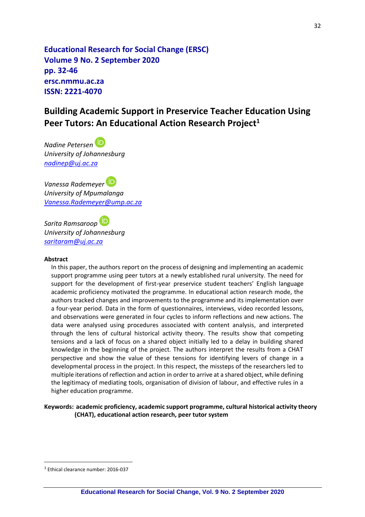**Educational Research for Social Change (ERSC) Volume 9 No. 2 September 2020 pp. 32-46 ersc.nmmu.ac.za ISSN: 2221-4070**

# **Building Academic Support in Preservice Teacher Education Using Peer Tutors: An Educational Action Research Project<sup>1</sup>**

*Nadine Petersen University of Johannesburg [nadinep@uj.ac.za](mailto:nadinep@uj.ac.za)*

*Vanessa Rademeyer University of Mpumalanga [Vanessa.Rademeyer@ump.ac.za](mailto:Vanessa.Rademeyer@ump.ac.za)*

*Sarita Ramsaroop University of Johannesburg [saritaram@uj.ac.za](mailto:saritaram@uj.ac.za)*

#### **Abstract**

In this paper, the authors report on the process of designing and implementing an academic support programme using peer tutors at a newly established rural university. The need for support for the development of first-year preservice student teachers' English language academic proficiency motivated the programme. In educational action research mode, the authors tracked changes and improvements to the programme and its implementation over a four-year period. Data in the form of questionnaires, interviews, video recorded lessons, and observations were generated in four cycles to inform reflections and new actions. The data were analysed using procedures associated with content analysis, and interpreted through the lens of cultural historical activity theory. The results show that competing tensions and a lack of focus on a shared object initially led to a delay in building shared knowledge in the beginning of the project. The authors interpret the results from a CHAT perspective and show the value of these tensions for identifying levers of change in a developmental process in the project. In this respect, the missteps of the researchers led to multiple iterations of reflection and action in order to arrive at a shared object, while defining the legitimacy of mediating tools, organisation of division of labour, and effective rules in a higher education programme.

**Keywords: academic proficiency, academic support programme, cultural historical activity theory (CHAT), educational action research, peer tutor system**

<sup>1</sup> Ethical clearance number: 2016-037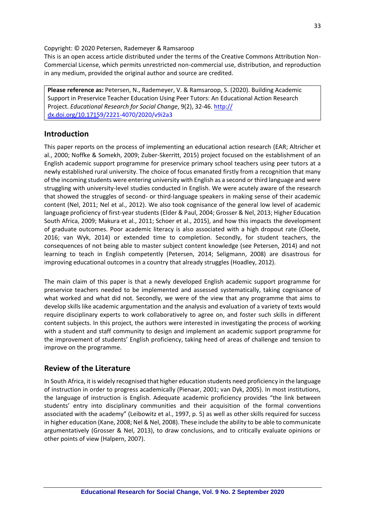Copyright: © 2020 Petersen, Rademeyer & Ramsaroop

This is an open access article distributed under the terms of the Creative Commons Attribution Non-Commercial License, which permits unrestricted non-commercial use, distribution, and reproduction in any medium, provided the original author and source are credited.

**Please reference as:** Petersen, N., Rademeyer, V. & Ramsaroop, S. (2020). Building Academic Support in Preservice Teacher Education Using Peer Tutors: An Educational Action Research Project. *Educational Research for Social Change*, 9(2), 32-46. [http://](http://dx.doi.org/10.17159/2221-4070/2020/v9i2a3) [dx.doi.org/10.17159](http://dx.doi.org/10.17159/2221-4070/2020/v9i2a3)/2221-4070/2020/v9i2a3

## **Introduction**

This paper reports on the process of implementing an educational action research (EAR; Altricher et al., 2000; Noffke & Somekh, 2009; Zuber-Skerritt, 2015) project focused on the establishment of an English academic support programme for preservice primary school teachers using peer tutors at a newly established rural university. The choice of focus emanated firstly from a recognition that many of the incoming students were entering university with English as a second or third language and were struggling with university-level studies conducted in English. We were acutely aware of the research that showed the struggles of second- or third-language speakers in making sense of their academic content (Nel, 2011; Nel et al., 2012). We also took cognisance of the general low level of academic language proficiency of first-year students (Elder & Paul, 2004; Grosser & Nel, 2013; Higher Education South Africa, 2009; Makura et al., 2011; Schoer et al., 2015), and how this impacts the development of graduate outcomes. Poor academic literacy is also associated with a high dropout rate (Cloete, 2016; van Wyk, 2014) or extended time to completion. Secondly, for student teachers, the consequences of not being able to master subject content knowledge (see Petersen, 2014) and not learning to teach in English competently (Petersen, 2014; Seligmann, 2008) are disastrous for improving educational outcomes in a country that already struggles (Hoadley, 2012).

The main claim of this paper is that a newly developed English academic support programme for preservice teachers needed to be implemented and assessed systematically, taking cognisance of what worked and what did not. Secondly, we were of the view that any programme that aims to develop skills like academic argumentation and the analysis and evaluation of a variety of texts would require disciplinary experts to work collaboratively to agree on, and foster such skills in different content subjects. In this project, the authors were interested in investigating the process of working with a student and staff community to design and implement an academic support programme for the improvement of students' English proficiency, taking heed of areas of challenge and tension to improve on the programme.

## **Review of the Literature**

In South Africa, it is widely recognised that higher education students need proficiency in the language of instruction in order to progress academically (Pienaar, 2001; van Dyk, 2005). In most institutions, the language of instruction is English. Adequate academic proficiency provides "the link between students' entry into disciplinary communities and their acquisition of the formal conventions associated with the academy" (Leibowitz et al., 1997, p. 5) as well as other skills required for success in higher education (Kane, 2008; Nel & Nel, 2008). These include the ability to be able to communicate argumentatively (Grosser & Nel, 2013), to draw conclusions, and to critically evaluate opinions or other points of view (Halpern, 2007).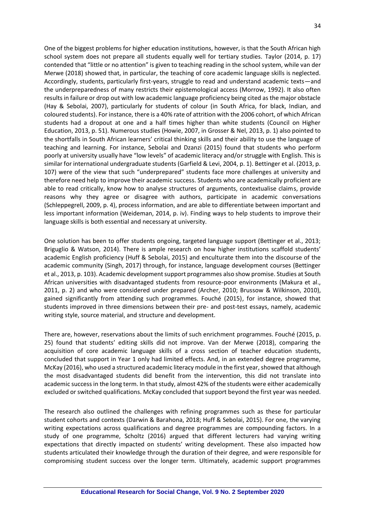One of the biggest problems for higher education institutions, however, is that the South African high school system does not prepare all students equally well for tertiary studies. Taylor (2014, p. 17) contended that "little or no attention" is given to teaching reading in the school system, while van der Merwe (2018) showed that, in particular, the teaching of core academic language skills is neglected. Accordingly, students, particularly first-years, struggle to read and understand academic texts—and the underpreparedness of many restricts their epistemological access (Morrow, 1992). It also often results in failure or drop out with low academic language proficiency being cited as the major obstacle (Hay & Sebolai, 2007), particularly for students of colour (in South Africa, for black, Indian, and coloured students). For instance, there is a 40% rate of attrition with the 2006 cohort, of which African students had a dropout at one and a half times higher than white students (Council on Higher Education, 2013, p. 51). Numerous studies (Howie, 2007, in Grosser & Nel, 2013, p. 1) also pointed to the shortfalls in South African learners' critical thinking skills and their ability to use the language of teaching and learning. For instance, Sebolai and Dzanzi (2015) found that students who perform poorly at university usually have "low levels" of academic literacy and/or struggle with English. This is similar for international undergraduate students (Garfield & Levi, 2004, p. 1). Bettinger et al. (2013, p. 107) were of the view that such "underprepared" students face more challenges at university and therefore need help to improve their academic success. Students who are academically proficient are able to read critically, know how to analyse structures of arguments, contextualise claims, provide reasons why they agree or disagree with authors, participate in academic conversations (Schleppegrell, 2009, p. 4), process information, and are able to differentiate between important and less important information (Weideman, 2014, p. iv). Finding ways to help students to improve their language skills is both essential and necessary at university.

One solution has been to offer students ongoing, targeted language support (Bettinger et al., 2013; Briguglio & Watson, 2014). There is ample research on how higher institutions scaffold students' academic English proficiency (Huff & Sebolai, 2015) and enculturate them into the discourse of the academic community (Singh, 2017) through, for instance, language development courses (Bettinger et al., 2013, p. 103). Academic development support programmes also show promise. Studies at South African universities with disadvantaged students from resource-poor environments (Makura et al., 2011, p. 2) and who were considered under prepared (Archer, 2010; Brussow & Wilkinson, 2010), gained significantly from attending such programmes. Fouché (2015), for instance, showed that students improved in three dimensions between their pre- and post-test essays, namely, academic writing style, source material, and structure and development.

There are, however, reservations about the limits of such enrichment programmes. Fouché (2015, p. 25) found that students' editing skills did not improve. Van der Merwe (2018), comparing the acquisition of core academic language skills of a cross section of teacher education students, concluded that support in Year 1 only had limited effects. And, in an extended degree programme, McKay (2016), who used a structured academic literacy module in the first year, showed that although the most disadvantaged students did benefit from the intervention, this did not translate into academic success in the long term. In that study, almost 42% of the students were either academically excluded or switched qualifications. McKay concluded that support beyond the first year was needed.

The research also outlined the challenges with refining programmes such as these for particular student cohorts and contexts (Darwin & Barahona, 2018; Huff & Sebolai, 2015). For one, the varying writing expectations across qualifications and degree programmes are compounding factors. In a study of one programme, Scholtz (2016) argued that different lecturers had varying writing expectations that directly impacted on students' writing development. These also impacted how students articulated their knowledge through the duration of their degree, and were responsible for compromising student success over the longer term. Ultimately, academic support programmes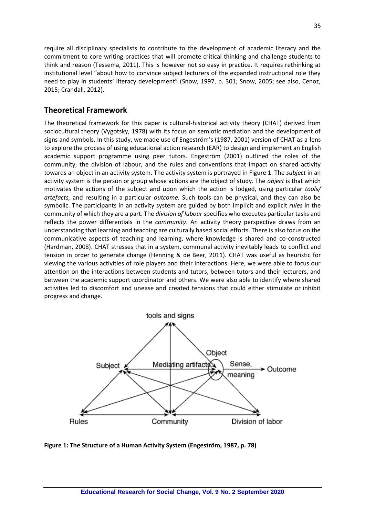require all disciplinary specialists to contribute to the development of academic literacy and the commitment to core writing practices that will promote critical thinking and challenge students to think and reason (Tessema, 2011). This is however not so easy in practice. It requires rethinking at institutional level "about how to convince subject lecturers of the expanded instructional role they need to play in students' literacy development" (Snow, 1997, p. 301; Snow, 2005; see also, Cenoz, 2015; Crandall, 2012).

## **Theoretical Framework**

The theoretical framework for this paper is cultural-historical activity theory (CHAT) derived from sociocultural theory (Vygotsky, 1978) with its focus on semiotic mediation and the development of signs and symbols. In this study, we made use of Engeström's (1987, 2001) version of CHAT as a lens to explore the process of using educational action research (EAR) to design and implement an English academic support programme using peer tutors. Engeström (2001) outlined the roles of the community, the division of labour, and the rules and conventions that impact on shared activity towards an object in an activity system. The activity system is portrayed in Figure 1. The *subject* in an activity system is the person or group whose actions are the object of study. The *object* is that which motivates the actions of the subject and upon which the action is lodged, using particular *tools/ artefacts,* and resulting in a particular *outcome.* Such tools can be physical, and they can also be symbolic. The participants in an activity system are guided by both implicit and explicit *rules* in the community of which they are a part. The *division of labour* specifies who executes particular tasks and reflects the power differentials in the *community*. An activity theory perspective draws from an understanding that learning and teaching are culturally based social efforts. There is also focus on the communicative aspects of teaching and learning, where knowledge is shared and co-constructed (Hardman, 2008). CHAT stresses that in a system, communal activity inevitably leads to conflict and tension in order to generate change (Henning & de Beer, 2011). CHAT was useful as heuristic for viewing the various activities of role players and their interactions. Here, we were able to focus our attention on the interactions between students and tutors, between tutors and their lecturers, and between the academic support coordinator and others. We were also able to identify where shared activities led to discomfort and unease and created tensions that could either stimulate or inhibit progress and change.



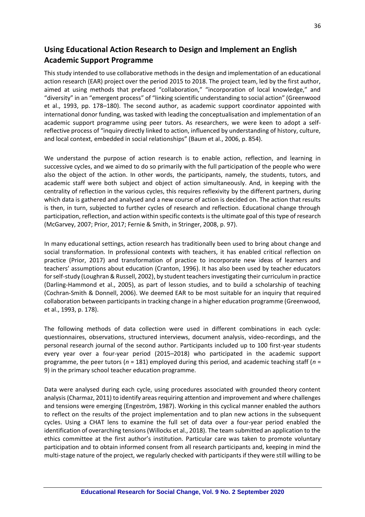# **Using Educational Action Research to Design and Implement an English Academic Support Programme**

This study intended to use collaborative methods in the design and implementation of an educational action research (EAR) project over the period 2015 to 2018. The project team, led by the first author, aimed at using methods that prefaced "collaboration," "incorporation of local knowledge," and "diversity" in an "emergent process" of "linking scientific understanding to social action" (Greenwood et al., 1993, pp. 178–180). The second author, as academic support coordinator appointed with international donor funding, was tasked with leading the conceptualisation and implementation of an academic support programme using peer tutors. As researchers, we were keen to adopt a selfreflective process of "inquiry directly linked to action, influenced by understanding of history, culture, and local context, embedded in social relationships" (Baum et al., 2006, p. 854).

We understand the purpose of action research is to enable action, reflection, and learning in successive cycles, and we aimed to do so primarily with the full participation of the people who were also the object of the action. In other words, the participants, namely, the students, tutors, and academic staff were both subject and object of action simultaneously. And, in keeping with the centrality of reflection in the various cycles, this requires reflexivity by the different partners, during which data is gathered and analysed and a new course of action is decided on. The action that results is then, in turn, subjected to further cycles of research and reflection. Educational change through participation, reflection, and action within specific contexts is the ultimate goal of this type of research (McGarvey, 2007; Prior, 2017; Fernie & Smith, in Stringer, 2008, p. 97).

In many educational settings, action research has traditionally been used to bring about change and social transformation. In professional contexts with teachers, it has enabled critical reflection on practice (Prior, 2017) and transformation of practice to incorporate new ideas of learners and teachers' assumptions about education (Cranton, 1996). It has also been used by teacher educators for self-study (Loughran & Russell, 2002), by student teachers investigating their curriculum in practice (Darling-Hammond et al., 2005), as part of lesson studies, and to build a scholarship of teaching (Cochran-Smith & Donnell, 2006). We deemed EAR to be most suitable for an inquiry that required collaboration between participants in tracking change in a higher education programme (Greenwood, et al., 1993, p. 178).

The following methods of data collection were used in different combinations in each cycle: questionnaires, observations, structured interviews, document analysis, video-recordings, and the personal research journal of the second author. Participants included up to 100 first-year students every year over a four-year period (2015–2018) who participated in the academic support programme, the peer tutors (*n* = 181) employed during this period, and academic teaching staff (*n* = 9) in the primary school teacher education programme.

Data were analysed during each cycle, using procedures associated with grounded theory content analysis (Charmaz, 2011) to identify areas requiring attention and improvement and where challenges and tensions were emerging (Engeström, 1987). Working in this cyclical manner enabled the authors to reflect on the results of the project implementation and to plan new actions in the subsequent cycles. Using a CHAT lens to examine the full set of data over a four-year period enabled the identification of overarching tensions (Willocks et al., 2018). The team submitted an application to the ethics committee at the first author's institution. Particular care was taken to promote voluntary participation and to obtain informed consent from all research participants and, keeping in mind the multi-stage nature of the project, we regularly checked with participants if they were still willing to be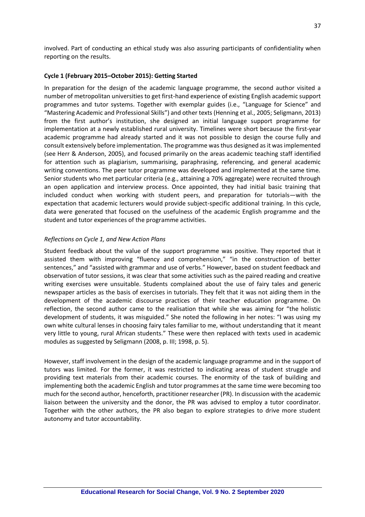involved. Part of conducting an ethical study was also assuring participants of confidentiality when reporting on the results.

#### **Cycle 1 (February 2015–October 2015): Getting Started**

In preparation for the design of the academic language programme, the second author visited a number of metropolitan universities to get first-hand experience of existing English academic support programmes and tutor systems. Together with exemplar guides (i.e., "Language for Science" and "Mastering Academic and Professional Skills") and other texts (Henning et al., 2005; Seligmann, 2013) from the first author's institution, she designed an initial language support programme for implementation at a newly established rural university. Timelines were short because the first-year academic programme had already started and it was not possible to design the course fully and consult extensively before implementation. The programme was thus designed as it was implemented (see Herr & Anderson, 2005), and focused primarily on the areas academic teaching staff identified for attention such as plagiarism, summarising, paraphrasing, referencing, and general academic writing conventions. The peer tutor programme was developed and implemented at the same time. Senior students who met particular criteria (e.g., attaining a 70% aggregate) were recruited through an open application and interview process. Once appointed, they had initial basic training that included conduct when working with student peers, and preparation for tutorials—with the expectation that academic lecturers would provide subject-specific additional training. In this cycle, data were generated that focused on the usefulness of the academic English programme and the student and tutor experiences of the programme activities.

#### *Reflections on Cycle 1, and New Action Plans*

Student feedback about the value of the support programme was positive. They reported that it assisted them with improving "fluency and comprehension," "in the construction of better sentences," and "assisted with grammar and use of verbs." However, based on student feedback and observation of tutor sessions, it was clear that some activities such as the paired reading and creative writing exercises were unsuitable. Students complained about the use of fairy tales and generic newspaper articles as the basis of exercises in tutorials. They felt that it was not aiding them in the development of the academic discourse practices of their teacher education programme. On reflection, the second author came to the realisation that while she was aiming for "the holistic development of students, it was misguided." She noted the following in her notes: "I was using my own white cultural lenses in choosing fairy tales familiar to me, without understanding that it meant very little to young, rural African students." These were then replaced with texts used in academic modules as suggested by Seligmann (2008, p. III; 1998, p. 5).

However, staff involvement in the design of the academic language programme and in the support of tutors was limited. For the former, it was restricted to indicating areas of student struggle and providing text materials from their academic courses. The enormity of the task of building and implementing both the academic English and tutor programmes at the same time were becoming too much for the second author, henceforth, practitioner researcher (PR). In discussion with the academic liaison between the university and the donor, the PR was advised to employ a tutor coordinator. Together with the other authors, the PR also began to explore strategies to drive more student autonomy and tutor accountability.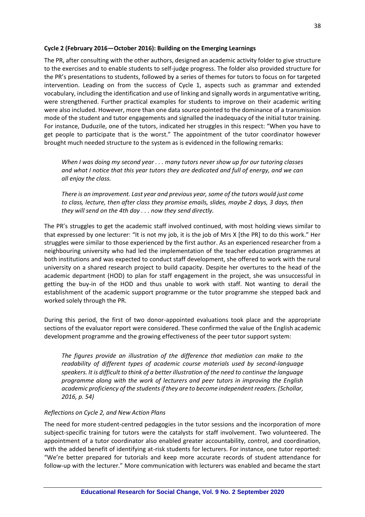### **Cycle 2 (February 2016—October 2016): Building on the Emerging Learnings**

The PR, after consulting with the other authors, designed an academic activity folder to give structure to the exercises and to enable students to self-judge progress. The folder also provided structure for the PR's presentations to students, followed by a series of themes for tutors to focus on for targeted intervention. Leading on from the success of Cycle 1, aspects such as grammar and extended vocabulary, including the identification and use of linking and signally words in argumentative writing, were strengthened. Further practical examples for students to improve on their academic writing were also included. However, more than one data source pointed to the dominance of a transmission mode of the student and tutor engagements and signalled the inadequacy of the initial tutor training. For instance, Duduzile, one of the tutors, indicated her struggles in this respect: "When you have to get people to participate that is the worst." The appointment of the tutor coordinator however brought much needed structure to the system as is evidenced in the following remarks:

*When I was doing my second year . . . many tutors never show up for our tutoring classes and what I notice that this year tutors they are dedicated and full of energy, and we can all enjoy the class.* 

*There is an improvement. Last year and previous year, some of the tutors would just come to class, lecture, then after class they promise emails, slides, maybe 2 days, 3 days, then they will send on the 4th day . . . now they send directly.*

The PR's struggles to get the academic staff involved continued, with most holding views similar to that expressed by one lecturer: "It is not my job, it is the job of Mrs X [the PR] to do this work." Her struggles were similar to those experienced by the first author. As an experienced researcher from a neighbouring university who had led the implementation of the teacher education programmes at both institutions and was expected to conduct staff development, she offered to work with the rural university on a shared research project to build capacity. Despite her overtures to the head of the academic department (HOD) to plan for staff engagement in the project, she was unsuccessful in getting the buy-in of the HOD and thus unable to work with staff. Not wanting to derail the establishment of the academic support programme or the tutor programme she stepped back and worked solely through the PR.

During this period, the first of two donor-appointed evaluations took place and the appropriate sections of the evaluator report were considered. These confirmed the value of the English academic development programme and the growing effectiveness of the peer tutor support system:

*The figures provide an illustration of the difference that mediation can make to the readability of different types of academic course materials used by second-language speakers. It is difficult to think of a better illustration of the need to continue the language programme along with the work of lecturers and peer tutors in improving the English academic proficiency of the students if they are to become independent readers. (Schollar, 2016, p. 54)* 

#### *Reflections on Cycle 2, and New Action Plans*

The need for more student-centred pedagogies in the tutor sessions and the incorporation of more subject-specific training for tutors were the catalysts for staff involvement. Two volunteered. The appointment of a tutor coordinator also enabled greater accountability, control, and coordination, with the added benefit of identifying at-risk students for lecturers. For instance, one tutor reported: "We're better prepared for tutorials and keep more accurate records of student attendance for follow-up with the lecturer." More communication with lecturers was enabled and became the start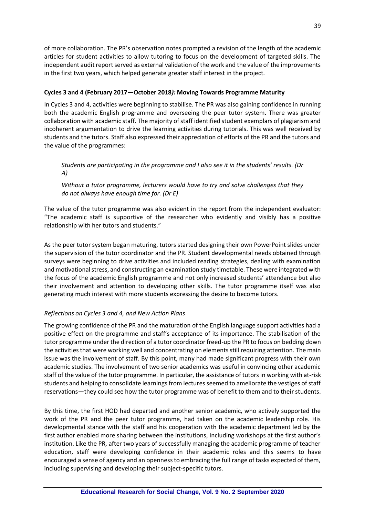of more collaboration. The PR's observation notes prompted a revision of the length of the academic articles for student activities to allow tutoring to focus on the development of targeted skills. The independent audit report served as external validation of the work and the value of the improvements in the first two years, which helped generate greater staff interest in the project.

### **Cycles 3 and 4 (February 2017—October 2018***):* **Moving Towards Programme Maturity**

In Cycles 3 and 4, activities were beginning to stabilise. The PR was also gaining confidence in running both the academic English programme and overseeing the peer tutor system. There was greater collaboration with academic staff. The majority of staff identified student exemplars of plagiarism and incoherent argumentation to drive the learning activities during tutorials. This was well received by students and the tutors. Staff also expressed their appreciation of efforts of the PR and the tutors and the value of the programmes:

### *Students are participating in the programme and I also see it in the students' results. (Dr A)*

*Without a tutor programme, lecturers would have to try and solve challenges that they do not always have enough time for. (Dr E)*

The value of the tutor programme was also evident in the report from the independent evaluator: "The academic staff is supportive of the researcher who evidently and visibly has a positive relationship with her tutors and students."

As the peer tutor system began maturing, tutors started designing their own PowerPoint slides under the supervision of the tutor coordinator and the PR. Student developmental needs obtained through surveys were beginning to drive activities and included reading strategies, dealing with examination and motivational stress, and constructing an examination study timetable. These were integrated with the focus of the academic English programme and not only increased students' attendance but also their involvement and attention to developing other skills. The tutor programme itself was also generating much interest with more students expressing the desire to become tutors.

### *Reflections on Cycles 3 and 4, and New Action Plans*

The growing confidence of the PR and the maturation of the English language support activities had a positive effect on the programme and staff's acceptance of its importance. The stabilisation of the tutor programme under the direction of a tutor coordinator freed-up the PR to focus on bedding down the activities that were working well and concentrating on elements still requiring attention. The main issue was the involvement of staff. By this point, many had made significant progress with their own academic studies. The involvement of two senior academics was useful in convincing other academic staff of the value of the tutor programme. In particular, the assistance of tutors in working with at-risk students and helping to consolidate learnings from lectures seemed to ameliorate the vestiges of staff reservations—they could see how the tutor programme was of benefit to them and to their students.

By this time, the first HOD had departed and another senior academic, who actively supported the work of the PR and the peer tutor programme, had taken on the academic leadership role. His developmental stance with the staff and his cooperation with the academic department led by the first author enabled more sharing between the institutions, including workshops at the first author's institution. Like the PR, after two years of successfully managing the academic programme of teacher education, staff were developing confidence in their academic roles and this seems to have encouraged a sense of agency and an openness to embracing the full range of tasks expected of them, including supervising and developing their subject-specific tutors.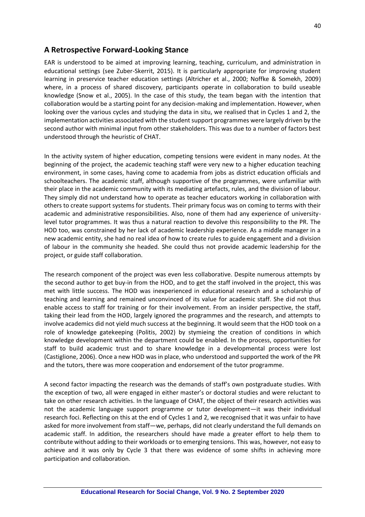## **A Retrospective Forward-Looking Stance**

EAR is understood to be aimed at improving learning, teaching, curriculum, and administration in educational settings (see Zuber-Skerrit, 2015). It is particularly appropriate for improving student learning in preservice teacher education settings (Altricher et al., 2000; Noffke & Somekh, 2009) where, in a process of shared discovery, participants operate in collaboration to build useable knowledge (Snow et al., 2005). In the case of this study, the team began with the intention that collaboration would be a starting point for any decision-making and implementation. However, when looking over the various cycles and studying the data in situ, we realised that in Cycles 1 and 2, the implementation activities associated with the student support programmes were largely driven by the second author with minimal input from other stakeholders. This was due to a number of factors best understood through the heuristic of CHAT.

In the activity system of higher education, competing tensions were evident in many nodes. At the beginning of the project, the academic teaching staff were very new to a higher education teaching environment, in some cases, having come to academia from jobs as district education officials and schoolteachers. The academic staff, although supportive of the programmes, were unfamiliar with their place in the academic community with its mediating artefacts, rules, and the division of labour. They simply did not understand how to operate as teacher educators working in collaboration with others to create support systems for students. Their primary focus was on coming to terms with their academic and administrative responsibilities. Also, none of them had any experience of universitylevel tutor programmes. It was thus a natural reaction to devolve this responsibility to the PR. The HOD too, was constrained by her lack of academic leadership experience. As a middle manager in a new academic entity, she had no real idea of how to create rules to guide engagement and a division of labour in the community she headed. She could thus not provide academic leadership for the project, or guide staff collaboration.

The research component of the project was even less collaborative. Despite numerous attempts by the second author to get buy-in from the HOD, and to get the staff involved in the project, this was met with little success. The HOD was inexperienced in educational research and a scholarship of teaching and learning and remained unconvinced of its value for academic staff. She did not thus enable access to staff for training or for their involvement. From an insider perspective, the staff, taking their lead from the HOD, largely ignored the programmes and the research, and attempts to involve academics did not yield much success at the beginning. It would seem that the HOD took on a role of knowledge gatekeeping (Politis, 2002) by stymieing the creation of conditions in which knowledge development within the department could be enabled. In the process, opportunities for staff to build academic trust and to share knowledge in a developmental process were lost (Castiglione, 2006). Once a new HOD was in place, who understood and supported the work of the PR and the tutors, there was more cooperation and endorsement of the tutor programme.

A second factor impacting the research was the demands of staff's own postgraduate studies. With the exception of two, all were engaged in either master's or doctoral studies and were reluctant to take on other research activities. In the language of CHAT, the object of their research activities was not the academic language support programme or tutor development—it was their individual research foci. Reflecting on this at the end of Cycles 1 and 2, we recognised that it was unfair to have asked for more involvement from staff—we, perhaps, did not clearly understand the full demands on academic staff. In addition, the researchers should have made a greater effort to help them to contribute without adding to their workloads or to emerging tensions. This was, however, not easy to achieve and it was only by Cycle 3 that there was evidence of some shifts in achieving more participation and collaboration.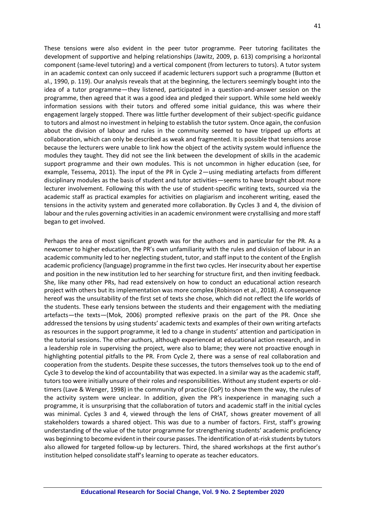These tensions were also evident in the peer tutor programme. Peer tutoring facilitates the development of supportive and helping relationships (Jawitz, 2009, p. 613) comprising a horizontal component (same-level tutoring) and a vertical component (from lecturers to tutors). A tutor system in an academic context can only succeed if academic lecturers support such a programme (Button et al., 1990, p. 119). Our analysis reveals that at the beginning, the lecturers seemingly bought into the idea of a tutor programme—they listened, participated in a question-and-answer session on the programme, then agreed that it was a good idea and pledged their support. While some held weekly information sessions with their tutors and offered some initial guidance, this was where their engagement largely stopped. There was little further development of their subject-specific guidance to tutors and almost no investment in helping to establish the tutor system. Once again, the confusion about the division of labour and rules in the community seemed to have tripped up efforts at collaboration, which can only be described as weak and fragmented. It is possible that tensions arose because the lecturers were unable to link how the object of the activity system would influence the modules they taught. They did not see the link between the development of skills in the academic support programme and their own modules. This is not uncommon in higher education (see, for example, Tessema, 2011). The input of the PR in Cycle 2—using mediating artefacts from different disciplinary modules as the basis of student and tutor activities—seems to have brought about more lecturer involvement. Following this with the use of student-specific writing texts, sourced via the academic staff as practical examples for activities on plagiarism and incoherent writing, eased the tensions in the activity system and generated more collaboration. By Cycles 3 and 4, the division of labour and the rules governing activities in an academic environment were crystallising and more staff began to get involved.

Perhaps the area of most significant growth was for the authors and in particular for the PR. As a newcomer to higher education, the PR's own unfamiliarity with the rules and division of labour in an academic community led to her neglecting student, tutor, and staff input to the content of the English academic proficiency (language) programme in the first two cycles. Her insecurity about her expertise and position in the new institution led to her searching for structure first, and then inviting feedback. She, like many other PRs, had read extensively on how to conduct an educational action research project with others but its implementation was more complex (Robinson et al., 2018). A consequence hereof was the unsuitability of the first set of texts she chose, which did not reflect the life worlds of the students. These early tensions between the students and their engagement with the mediating artefacts—the texts—(Mok, 2006) prompted reflexive praxis on the part of the PR. Once she addressed the tensions by using students' academic texts and examples of their own writing artefacts as resources in the support programme, it led to a change in students' attention and participation in the tutorial sessions. The other authors, although experienced at educational action research, and in a leadership role in supervising the project, were also to blame; they were not proactive enough in highlighting potential pitfalls to the PR. From Cycle 2, there was a sense of real collaboration and cooperation from the students. Despite these successes, the tutors themselves took up to the end of Cycle 3 to develop the kind of accountability that was expected. In a similar way as the academic staff, tutors too were initially unsure of their roles and responsibilities. Without any student experts or oldtimers (Lave & Wenger, 1998) in the community of practice (CoP) to show them the way, the rules of the activity system were unclear. In addition, given the PR's inexperience in managing such a programme, it is unsurprising that the collaboration of tutors and academic staff in the initial cycles was minimal. Cycles 3 and 4, viewed through the lens of CHAT, shows greater movement of all stakeholders towards a shared object. This was due to a number of factors. First, staff's growing understanding of the value of the tutor programme for strengthening students' academic proficiency was beginning to become evident in their course passes. The identification of at-risk students by tutors also allowed for targeted follow-up by lecturers. Third, the shared workshops at the first author's institution helped consolidate staff's learning to operate as teacher educators.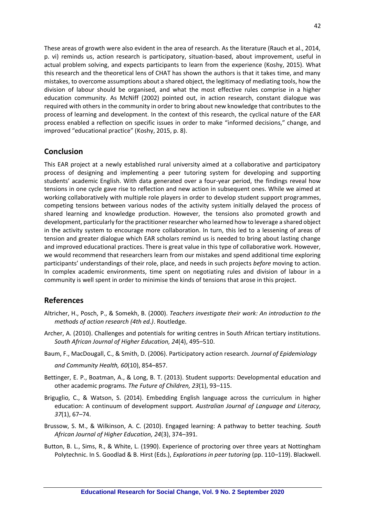These areas of growth were also evident in the area of research. As the literature (Rauch et al., 2014, p. vi) reminds us, action research is participatory, situation-based, about improvement, useful in actual problem solving, and expects participants to learn from the experience (Koshy, 2015). What this research and the theoretical lens of CHAT has shown the authors is that it takes time, and many mistakes, to overcome assumptions about a shared object, the legitimacy of mediating tools, how the division of labour should be organised, and what the most effective rules comprise in a higher education community. As McNiff (2002) pointed out, in action research, constant dialogue was required with others in the community in order to bring about new knowledge that contributes to the process of learning and development. In the context of this research, the cyclical nature of the EAR process enabled a reflection on specific issues in order to make "informed decisions," change, and improved "educational practice" (Koshy, 2015, p. 8).

## **Conclusion**

This EAR project at a newly established rural university aimed at a collaborative and participatory process of designing and implementing a peer tutoring system for developing and supporting students' academic English. With data generated over a four-year period, the findings reveal how tensions in one cycle gave rise to reflection and new action in subsequent ones. While we aimed at working collaboratively with multiple role players in order to develop student support programmes, competing tensions between various nodes of the activity system initially delayed the process of shared learning and knowledge production. However, the tensions also promoted growth and development, particularly for the practitioner researcher who learned how to leverage a shared object in the activity system to encourage more collaboration. In turn, this led to a lessening of areas of tension and greater dialogue which EAR scholars remind us is needed to bring about lasting change and improved educational practices. There is great value in this type of collaborative work. However, we would recommend that researchers learn from our mistakes and spend additional time exploring participants' understandings of their role, place, and needs in such projects *before* moving to action. In complex academic environments, time spent on negotiating rules and division of labour in a community is well spent in order to minimise the kinds of tensions that arose in this project.

## **References**

- Altricher, H., Posch, P., & Somekh, B. (2000). *Teachers investigate their work: An introduction to the methods of action research (4th ed.)*. Routledge.
- Archer, A. (2010). Challenges and potentials for writing centres in South African tertiary institutions. *South African Journal of Higher Education, 24*(4), 495–510.
- Baum, F., MacDougall, C., & Smith, D. (2006). Participatory action research. *Journal of Epidemiology*

*and Community Health, 60*(10), 854–857.

- Bettinger, E. P., Boatman, A., & Long, B. T. (2013). Student supports: Developmental education and other academic programs. *The Future of Children, 23*(1), 93–115.
- Briguglio, C., & Watson, S. (2014). Embedding English language across the curriculum in higher education: A continuum of development support. *Australian Journal of Language and Literacy, 37*(1), 67–74.
- Brussow, S. M., & Wilkinson, A. C. (2010). Engaged learning: A pathway to better teaching. *South African Journal of Higher Education, 24*(3), 374–391.
- Button, B. L., Sims, R., & White, L. (1990). Experience of proctoring over three years at Nottingham Polytechnic. In S. Goodlad & B. Hirst (Eds.), *Explorations in peer tutoring* (pp. 110–119). Blackwell.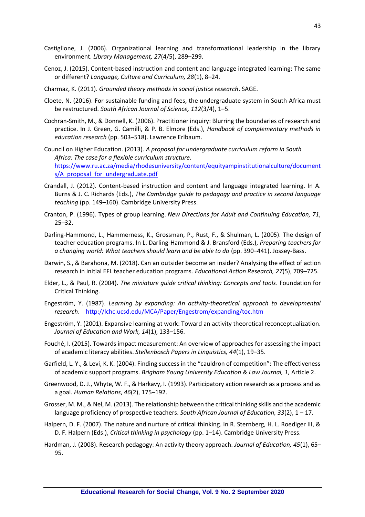- Castiglione, J. (2006). Organizational learning and transformational leadership in the library environment. *Library Management, 27*(4/5), 289–299.
- Cenoz, J. (2015). Content-based instruction and content and language integrated learning: The same or different? *Language, Culture and Curriculum, 28*(1), 8–24.
- Charmaz, K. (2011). *Grounded theory methods in social justice research*. SAGE.
- Cloete, N. (2016). For sustainable funding and fees, the undergraduate system in South Africa must be restructured. *South African Journal of Science, 112*(3/4), 1–5.
- Cochran-Smith, M., & Donnell, K. (2006). Practitioner inquiry: Blurring the boundaries of research and practice. In J. Green, G. Camilli, & P. B. Elmore (Eds.), *Handbook of complementary methods in education research* (pp. 503–518). Lawrence Erlbaum.
- Council on Higher Education. (2013). *A proposal for undergraduate curriculum reform in South Africa: The case for a flexible curriculum structure.*  [https://www.ru.ac.za/media/rhodesuniversity/content/equityampinstitutionalculture/document](https://www.ru.ac.za/media/rhodesuniversity/content/equityampinstitutionalculture/documents/A_proposal_for_undergraduate.pdf) s/A proposal for undergraduate.pdf
- Crandall, J. (2012). Content-based instruction and content and language integrated learning. In A. Burns & J. C. Richards (Eds.), *The Cambridge guide to pedagogy and practice in second language teaching* (pp. 149–160). Cambridge University Press.
- Cranton, P. (1996). Types of group learning. *New Directions for Adult and Continuing Education, 71*, 25–32.
- Darling-Hammond, L., Hammerness, K., Grossman, P., Rust, F., & Shulman, L. (2005). The design of teacher education programs. In L. Darling-Hammond & J. Bransford (Eds.), *Preparing teachers for a changing world: What teachers should learn and be able to do* (pp. 390–441). Jossey-Bass.
- Darwin, S., & Barahona, M. (2018). Can an outsider become an insider? Analysing the effect of action research in initial EFL teacher education programs. *Educational Action Research, 27*(5), 709–725.
- Elder, L., & Paul, R. (2004). *The miniature guide critical thinking: Concepts and tools*. Foundation for Critical Thinking.
- Engeström, Y. (1987). *Learning by expanding: An activity-theoretical approach to developmental research*. <http://lchc.ucsd.edu/MCA/Paper/Engestrom/expanding/toc.htm>
- Engeström, Y. (2001). Expansive learning at work: Toward an activity theoretical reconceptualization. *Journal of Education and Work, 14*(1), 133–156.
- Fouché, I. (2015). Towards impact measurement: An overview of approaches for assessing the impact of academic literacy abilities. *Stellenbosch Papers in Linguistics, 44*(1), 19–35.
- Garfield, L. Y., & Levi, K. K. (2004). Finding success in the "cauldron of competition": The effectiveness of academic support programs. *Brigham Young University Education & Law Journal, 1,* Article 2.
- Greenwood, D. J., Whyte, W. F., & Harkavy, I. (1993). Participatory action research as a process and as a goal. *Human Relations*, *46*(2), 175–192.
- Grosser, M. M., & Nel, M. (2013). The relationship between the critical thinking skills and the academic language proficiency of prospective teachers. *South African Journal of Education, 33*(2), 1 – 17.
- Halpern, D. F. (2007). The nature and nurture of critical thinking. In R. Sternberg, H. L. Roediger III, & D. F. Halpern (Eds.), *Critical thinking in psychology* (pp. 1–14). Cambridge University Press.
- Hardman, J. (2008). Research pedagogy: An activity theory approach. *Journal of Education, 45*(1), 65– 95.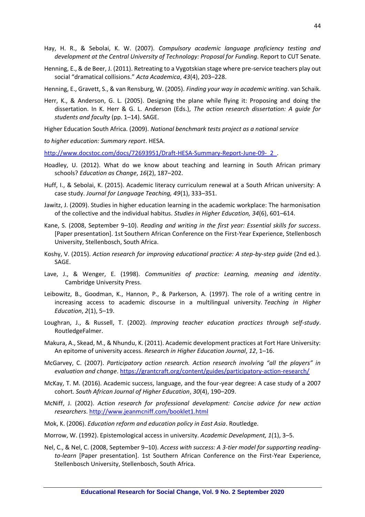- Hay, H. R., & Sebolai, K. W. (2007). *Compulsory academic language proficiency testing and development at the Central University of Technology: Proposal for Funding*. Report to CUT Senate.
- Henning, E., & de Beer, J. (2011). Retreating to a Vygotskian stage where pre-service teachers play out social "dramatical collisions." *Acta Academica*, *43*(4), 203–228.

Henning, E., Gravett, S., & van Rensburg, W. (2005). *Finding your way in academic writing*. van Schaik.

Herr, K., & Anderson, G. L. (2005). Designing the plane while flying it: Proposing and doing the dissertation. In K. Herr & G. L. Anderson (Eds.), *The action research dissertation: A guide for students and faculty* (pp. 1–14). SAGE.

Higher Education South Africa. (2009). *National benchmark tests project as a national service* 

*to higher education: Summary report*. HESA.

http://www.docstoc.com/docs/72693951/Draft-HESA-Summary-Report-June-09-\_2\_

- Hoadley, U. (2012). What do we know about teaching and learning in South African primary schools? *Education as Change*, *16*(2), 187–202.
- Huff, I., & Sebolai, K. (2015). Academic literacy curriculum renewal at a South African university: A case study. *Journal for Language Teaching, 49*(1), 333–351.
- Jawitz, J. (2009). Studies in higher education learning in the academic workplace: The harmonisation of the collective and the individual habitus. *Studies in Higher Education, 34*(6), 601–614.
- Kane, S. (2008, September 9–10). *Reading and writing in the first year: Essential skills for success*. [Paper presentation]. 1st Southern African Conference on the First-Year Experience, Stellenbosch University, Stellenbosch, South Africa.
- Koshy, V. (2015). *Action research for improving educational practice: A step-by-step guide* (2nd ed.). SAGE.
- Lave, J., & Wenger, E. (1998). *Communities of practice: Learning, meaning and identity*. Cambridge University Press.
- Leibowitz, B., Goodman, K., Hannon, P., & Parkerson, A. (1997). The role of a writing centre in increasing access to academic discourse in a multilingual university. *Teaching in Higher Education*, *2*(1), 5–19.
- Loughran, J., & Russell, T. (2002). *Improving teacher education practices through self-study*. RoutledgeFalmer.
- Makura, A., Skead, M., & Nhundu, K. (2011). Academic development practices at Fort Hare University: An epitome of university access. *Research in Higher Education Journal*, *12*, 1–16.
- McGarvey, C. (2007). *Participatory action research. Action research involving "all the players" in evaluation and change*.<https://grantcraft.org/content/guides/participatory-action-research/>
- McKay, T. M. (2016). Academic success, language, and the four-year degree: A case study of a 2007 cohort. *South African Journal of Higher Education*, *30*(4), 190–209.
- McNiff, J. (2002). *Action research for professional development: Concise advice for new action researchers*.<http://www.jeanmcniff.com/booklet1.html>
- Mok, K. (2006). *Education reform and education policy in East Asia*. Routledge.
- Morrow, W. (1992). Epistemological access in university. *Academic Development, 1*(1), 3–5.
- Nel, C., & Nel, C. (2008, September 9–10). *Access with success: A 3-tier model for supporting readingto-learn* [Paper presentation]. 1st Southern African Conference on the First-Year Experience, Stellenbosch University, Stellenbosch, South Africa.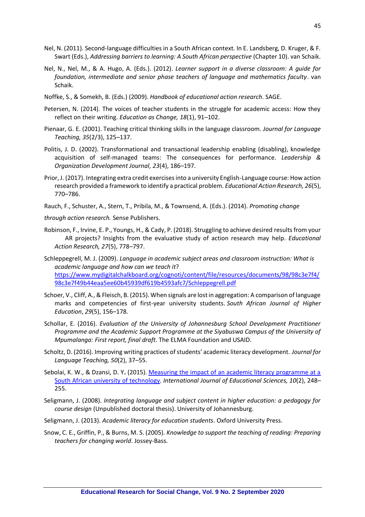- Nel, N. (2011). Second-language difficulties in a South African context. In E. Landsberg, D. Kruger, & F. Swart (Eds.), *Addressing barriers to learning: A South African perspective* (Chapter 10). van Schaik.
- Nel, N., Nel, M., & A. Hugo, A. (Eds*.*). (2012). *Learner support in a diverse classroom: A guide for foundation, intermediate and senior phase teachers of language and mathematics faculty*. van Schaik.
- Noffke, S., & Somekh, B. (Eds.) (2009). *Handbook of educational action research*. SAGE.
- Petersen, N. (2014). The voices of teacher students in the struggle for academic access: How they reflect on their writing. *Education as Change, 18*(1), 91–102.
- Pienaar, G. E. (2001). Teaching critical thinking skills in the language classroom. *Journal for Language Teaching, 35*(2/3), 125–137.
- Politis, J. D. (2002). Transformational and transactional leadership enabling (disabling), knowledge acquisition of self-managed teams: The consequences for performance. *Leadership & Organization Development Journal, 23*(4), 186–197.
- Prior, J. (2017). Integrating extra credit exercises into a university English-Language course: How action research provided a framework to identify a practical problem. *Educational Action Research, 26*(5), 770–786.
- Rauch, F., Schuster, A., Stern, T., Pribila, M., & Townsend, A. (Eds.). (2014). *Promoting change*
- *through action research.* Sense Publishers.
- Robinson, F., Irvine, E. P., Youngs, H., & Cady, P. (2018). Struggling to achieve desired results from your AR projects? Insights from the evaluative study of action research may help. *Educational Action Research, 27*(5), 778–797.
- Schleppegrell, M. J. (2009). *Language in academic subject areas and classroom instruction: What is academic language and how can we teach it*? [https://www.mydigitalchalkboard.org/cognoti/content/file/resources/documents/98/98c3e7f4/](https://www.mydigitalchalkboard.org/cognoti/content/file/resources/documents/98/98c3e7f4/98c3e7f49b44eaa5ee60b45939df619b4593afc7/Schleppegrell.pdf) [98c3e7f49b44eaa5ee60b45939df619b4593afc7/Schleppegrell.pdf](https://www.mydigitalchalkboard.org/cognoti/content/file/resources/documents/98/98c3e7f4/98c3e7f49b44eaa5ee60b45939df619b4593afc7/Schleppegrell.pdf)
- Schoer, V., Cliff, A., & Fleisch, B. (2015). When signals are lost in aggregation: A comparison of language marks and competencies of first-year university students. *South African Journal of Higher Education*, *29*(5), 156–178.
- Schollar, E. (2016). *Evaluation of the University of Johannesburg School Development Practitioner Programme and the Academic Support Programme at the Siyabuswa Campus of the University of Mpumalanga: First report, final draft*. The ELMA Foundation and USAID.
- Scholtz, D. (2016). Improving writing practices of students' academic literacy development. *Journal for Language Teaching, 50*(2), 37–55.
- Sebolai, K. W., & Dzansi, D. Y**.** (2015). [Measuring the impact of an academic literacy programme at a](http://krepublishers.com/02-Journals/IJES/IJES-10-0-000-15-Web/IJES-10-2-000-15-Abst-PDF/IJES-10-2-000-15-Abst-PDF/IJES-10-2-248-15-588-Dzansi-D-Y/IJES-10-2-248-15-588-Dzansi-D-Y-Tx%5b8%5d.pdf)  [South African university of technology](http://krepublishers.com/02-Journals/IJES/IJES-10-0-000-15-Web/IJES-10-2-000-15-Abst-PDF/IJES-10-2-000-15-Abst-PDF/IJES-10-2-248-15-588-Dzansi-D-Y/IJES-10-2-248-15-588-Dzansi-D-Y-Tx%5b8%5d.pdf)*. International Journal of Educational Sciences, 10*(2), 248– 255.
- Seligmann, J. (2008). *Integrating language and subject content in higher education: a pedagogy for course design* (Unpublished doctoral thesis). University of Johannesburg.
- Seligmann, J. (2013). *Academic literacy for education students*. Oxford University Press.
- Snow, C. E., Griffin, P., & Burns, M. S. (2005). *Knowledge to support the teaching of reading: Preparing teachers for changing world*. Jossey-Bass.